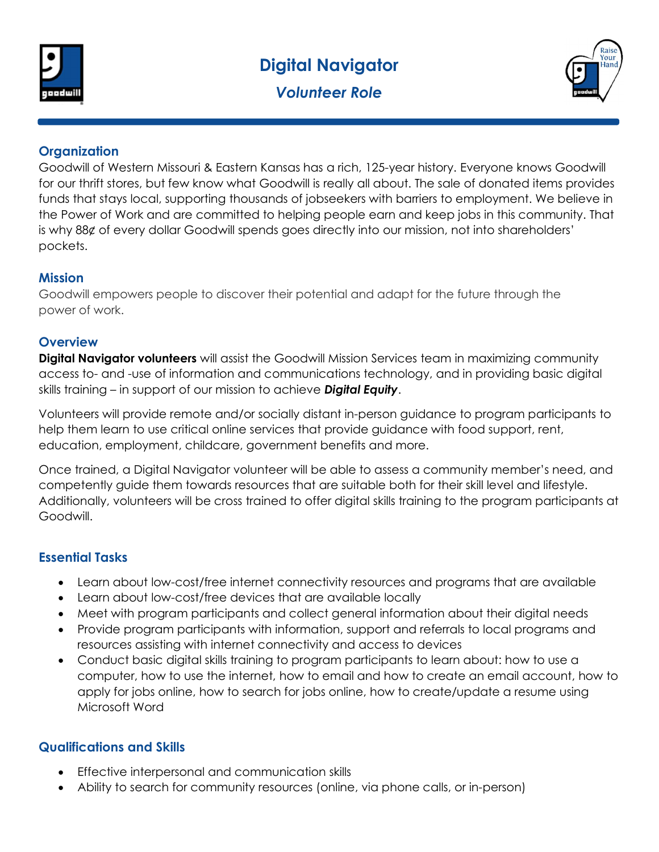



Ī

# **Organization**

Goodwill of Western Missouri & Eastern Kansas has a rich, 125-year history. Everyone knows Goodwill for our thrift stores, but few know what Goodwill is really all about. The sale of donated items provides funds that stays local, supporting thousands of jobseekers with barriers to employment. We believe in the Power of Work and are committed to helping people earn and keep jobs in this community. That is why 88¢ of every dollar Goodwill spends goes directly into our mission, not into shareholders' pockets.

### **Mission**

Goodwill empowers people to discover their potential and adapt for the future through the power of work.

### **Overview**

**Digital Navigator volunteers** will assist the Goodwill Mission Services team in maximizing community access to- and -use of information and communications technology, and in providing basic digital skills training – in support of our mission to achieve **Digital Equity**.

Volunteers will provide remote and/or socially distant in-person guidance to program participants to help them learn to use critical online services that provide guidance with food support, rent, education, employment, childcare, government benefits and more.

Once trained, a Digital Navigator volunteer will be able to assess a community member's need, and competently guide them towards resources that are suitable both for their skill level and lifestyle. Additionally, volunteers will be cross trained to offer digital skills training to the program participants at Goodwill.

# Essential Tasks

- Learn about low-cost/free internet connectivity resources and programs that are available
- Learn about low-cost/free devices that are available locally
- Meet with program participants and collect general information about their digital needs
- Provide program participants with information, support and referrals to local programs and resources assisting with internet connectivity and access to devices
- Conduct basic digital skills training to program participants to learn about: how to use a computer, how to use the internet, how to email and how to create an email account, how to apply for jobs online, how to search for jobs online, how to create/update a resume using Microsoft Word

# Qualifications and Skills

- Effective interpersonal and communication skills
- Ability to search for community resources (online, via phone calls, or in-person)